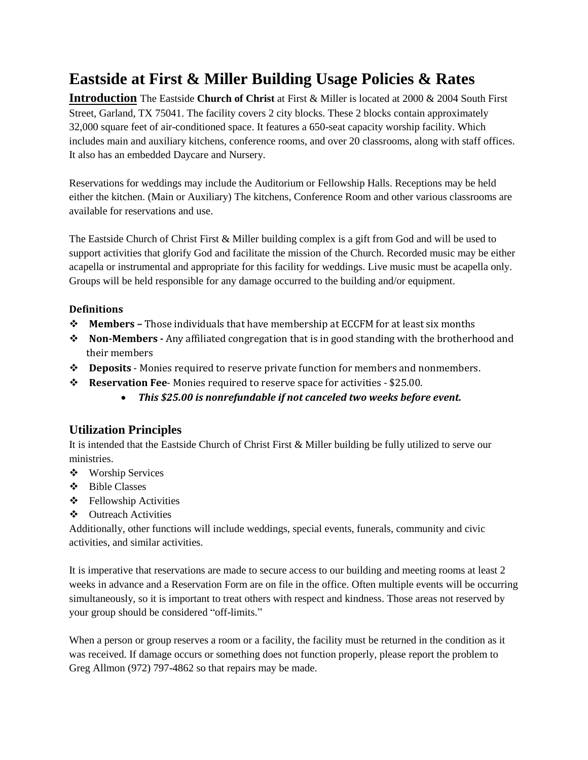**Introduction** The Eastside **Church of Christ** at First & Miller is located at 2000 & 2004 South First Street, Garland, TX 75041. The facility covers 2 city blocks. These 2 blocks contain approximately 32,000 square feet of air-conditioned space. It features a 650-seat capacity worship facility. Which includes main and auxiliary kitchens, conference rooms, and over 20 classrooms, along with staff offices. It also has an embedded Daycare and Nursery.

Reservations for weddings may include the Auditorium or Fellowship Halls. Receptions may be held either the kitchen. (Main or Auxiliary) The kitchens, Conference Room and other various classrooms are available for reservations and use.

The Eastside Church of Christ First & Miller building complex is a gift from God and will be used to support activities that glorify God and facilitate the mission of the Church. Recorded music may be either acapella or instrumental and appropriate for this facility for weddings. Live music must be acapella only. Groups will be held responsible for any damage occurred to the building and/or equipment.

## **Definitions**

- **Members –** Those individuals that have membership at ECCFM for at least six months
- **Non-Members -** Any affiliated congregation that is in good standing with the brotherhood and their members
- **Deposits** ‐ Monies required to reserve private function for members and nonmembers.
- **Reservation Fee**‐ Monies required to reserve space for activities ‐ \$25.00.
	- *This \$25.00 is nonrefundable if not canceled two weeks before event.*

# **Utilization Principles**

It is intended that the Eastside Church of Christ First & Miller building be fully utilized to serve our ministries.

- Worship Services
- Bible Classes
- Fellowship Activities
- ❖ Outreach Activities

Additionally, other functions will include weddings, special events, funerals, community and civic activities, and similar activities.

It is imperative that reservations are made to secure access to our building and meeting rooms at least 2 weeks in advance and a Reservation Form are on file in the office. Often multiple events will be occurring simultaneously, so it is important to treat others with respect and kindness. Those areas not reserved by your group should be considered "off-limits."

When a person or group reserves a room or a facility, the facility must be returned in the condition as it was received. If damage occurs or something does not function properly, please report the problem to Greg Allmon (972) 797-4862 so that repairs may be made.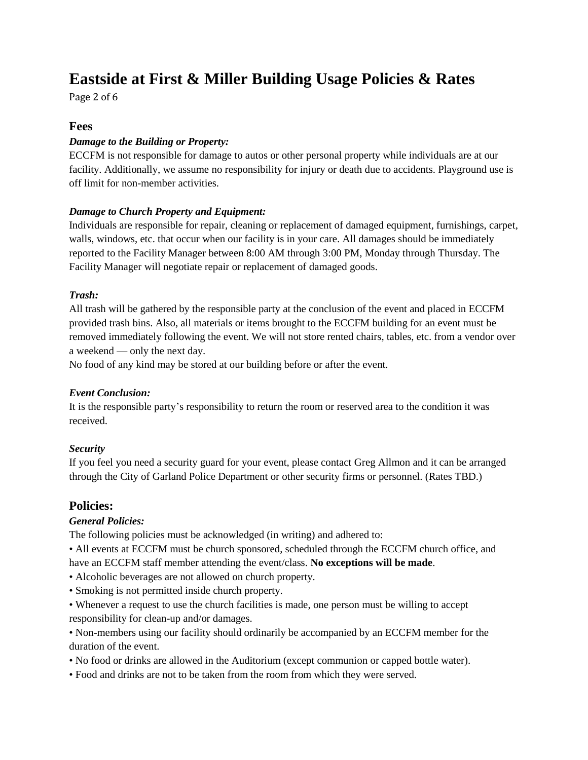Page 2 of 6

## **Fees**

### *Damage to the Building or Property:*

ECCFM is not responsible for damage to autos or other personal property while individuals are at our facility. Additionally, we assume no responsibility for injury or death due to accidents. Playground use is off limit for non-member activities.

### *Damage to Church Property and Equipment:*

Individuals are responsible for repair, cleaning or replacement of damaged equipment, furnishings, carpet, walls, windows, etc. that occur when our facility is in your care. All damages should be immediately reported to the Facility Manager between 8:00 AM through 3:00 PM, Monday through Thursday. The Facility Manager will negotiate repair or replacement of damaged goods.

#### *Trash:*

All trash will be gathered by the responsible party at the conclusion of the event and placed in ECCFM provided trash bins. Also, all materials or items brought to the ECCFM building for an event must be removed immediately following the event. We will not store rented chairs, tables, etc. from a vendor over a weekend — only the next day.

No food of any kind may be stored at our building before or after the event.

### *Event Conclusion:*

It is the responsible party's responsibility to return the room or reserved area to the condition it was received.

### *Security*

If you feel you need a security guard for your event, please contact Greg Allmon and it can be arranged through the City of Garland Police Department or other security firms or personnel. (Rates TBD.)

## **Policies:**

### *General Policies:*

The following policies must be acknowledged (in writing) and adhered to:

• All events at ECCFM must be church sponsored, scheduled through the ECCFM church office, and have an ECCFM staff member attending the event/class. **No exceptions will be made**.

- Alcoholic beverages are not allowed on church property.
- Smoking is not permitted inside church property.
- Whenever a request to use the church facilities is made, one person must be willing to accept responsibility for clean-up and/or damages.

• Non-members using our facility should ordinarily be accompanied by an ECCFM member for the duration of the event.

- No food or drinks are allowed in the Auditorium (except communion or capped bottle water).
- Food and drinks are not to be taken from the room from which they were served.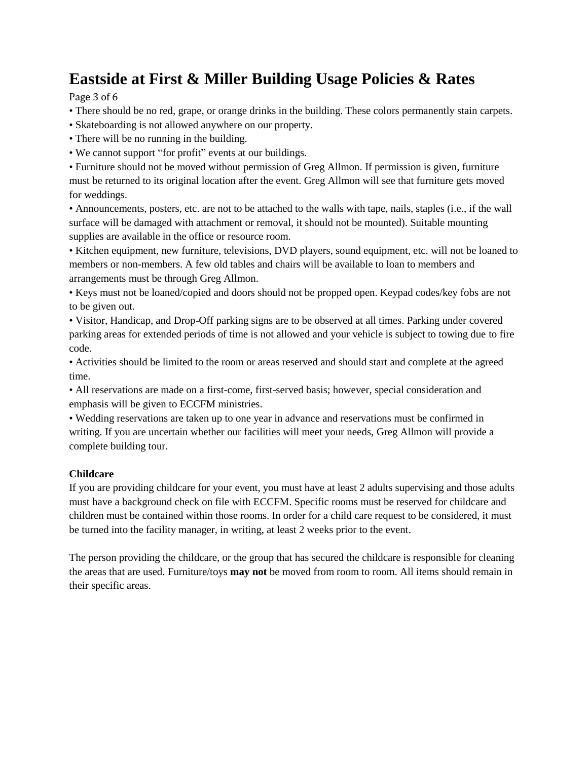Page 3 of 6

- There should be no red, grape, or orange drinks in the building. These colors permanently stain carpets.
- Skateboarding is not allowed anywhere on our property.
- There will be no running in the building.
- We cannot support "for profit" events at our buildings.

• Furniture should not be moved without permission of Greg Allmon. If permission is given, furniture must be returned to its original location after the event. Greg Allmon will see that furniture gets moved for weddings.

• Announcements, posters, etc. are not to be attached to the walls with tape, nails, staples (i.e., if the wall surface will be damaged with attachment or removal, it should not be mounted). Suitable mounting supplies are available in the office or resource room.

• Kitchen equipment, new furniture, televisions, DVD players, sound equipment, etc. will not be loaned to members or non-members. A few old tables and chairs will be available to loan to members and arrangements must be through Greg Allmon.

• Keys must not be loaned/copied and doors should not be propped open. Keypad codes/key fobs are not to be given out.

• Visitor, Handicap, and Drop-Off parking signs are to be observed at all times. Parking under covered parking areas for extended periods of time is not allowed and your vehicle is subject to towing due to fire code.

• Activities should be limited to the room or areas reserved and should start and complete at the agreed time.

• All reservations are made on a first-come, first-served basis; however, special consideration and emphasis will be given to ECCFM ministries.

• Wedding reservations are taken up to one year in advance and reservations must be confirmed in writing. If you are uncertain whether our facilities will meet your needs, Greg Allmon will provide a complete building tour.

## **Childcare**

If you are providing childcare for your event, you must have at least 2 adults supervising and those adults must have a background check on file with ECCFM. Specific rooms must be reserved for childcare and children must be contained within those rooms. In order for a child care request to be considered, it must be turned into the facility manager, in writing, at least 2 weeks prior to the event.

The person providing the childcare, or the group that has secured the childcare is responsible for cleaning the areas that are used. Furniture/toys **may not** be moved from room to room. All items should remain in their specific areas.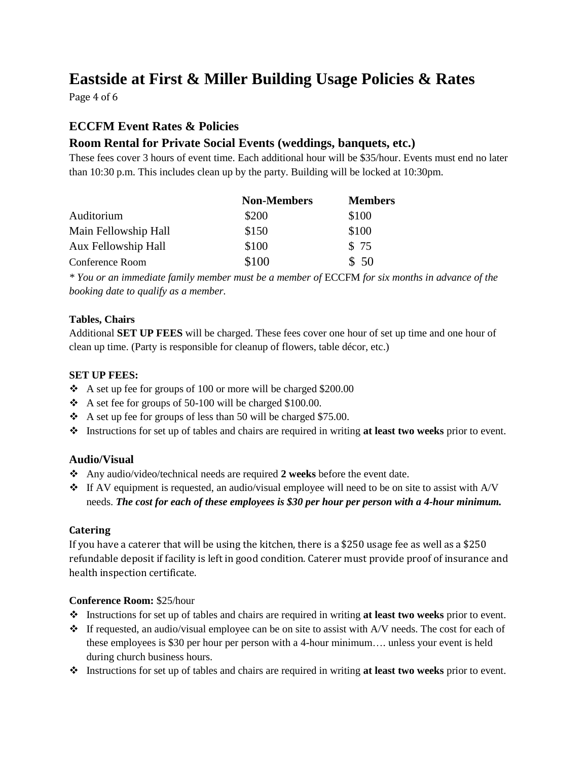Page 4 of 6

# **ECCFM Event Rates & Policies**

# **Room Rental for Private Social Events (weddings, banquets, etc.)**

These fees cover 3 hours of event time. Each additional hour will be \$35/hour. Events must end no later than 10:30 p.m. This includes clean up by the party. Building will be locked at 10:30pm.

|                      | <b>Non-Members</b> | <b>Members</b> |
|----------------------|--------------------|----------------|
| Auditorium           | \$200              | \$100          |
| Main Fellowship Hall | \$150              | \$100          |
| Aux Fellowship Hall  | \$100              | \$75           |
| Conference Room      | \$100              | \$50           |

*\* You or an immediate family member must be a member of* ECCFM *for six months in advance of the booking date to qualify as a member.*

## **Tables, Chairs**

Additional **SET UP FEES** will be charged. These fees cover one hour of set up time and one hour of clean up time. (Party is responsible for cleanup of flowers, table décor, etc.)

## **SET UP FEES:**

- $\div$  A set up fee for groups of 100 or more will be charged \$200.00
- A set fee for groups of 50-100 will be charged \$100.00.
- $\cdot$  A set up fee for groups of less than 50 will be charged \$75.00.
- Instructions for set up of tables and chairs are required in writing **at least two weeks** prior to event.

## **Audio/Visual**

- Any audio/video/technical needs are required **2 weeks** before the event date.
- $\bullet$  If AV equipment is requested, an audio/visual employee will need to be on site to assist with A/V needs. *The cost for each of these employees is \$30 per hour per person with a 4-hour minimum.*

### **Catering**

If you have a caterer that will be using the kitchen, there is a \$250 usage fee as well as a \$250 refundable deposit if facility is left in good condition. Caterer must provide proof of insurance and health inspection certificate.

### **Conference Room:** \$25/hour

- Instructions for set up of tables and chairs are required in writing **at least two weeks** prior to event.
- $\cdot \cdot$  If requested, an audio/visual employee can be on site to assist with A/V needs. The cost for each of these employees is \$30 per hour per person with a 4-hour minimum…. unless your event is held during church business hours.
- Instructions for set up of tables and chairs are required in writing **at least two weeks** prior to event.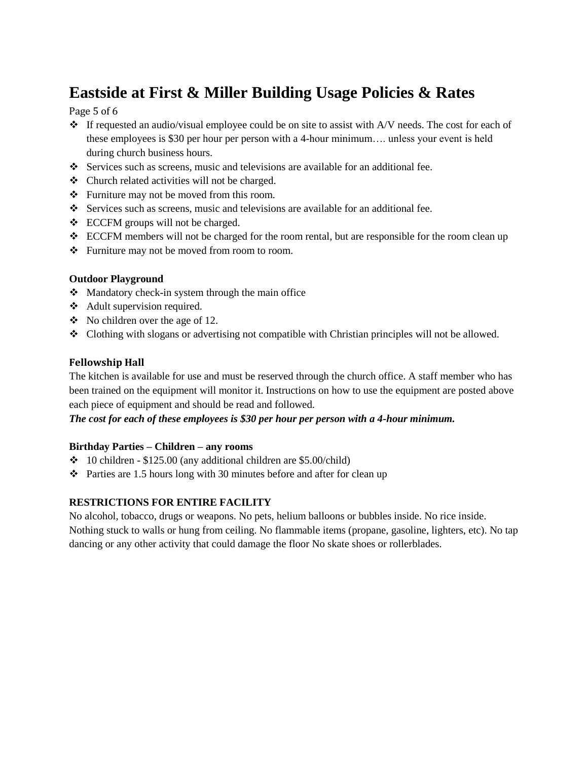## Page 5 of 6

- $\div$  If requested an audio/visual employee could be on site to assist with A/V needs. The cost for each of these employees is \$30 per hour per person with a 4-hour minimum…. unless your event is held during church business hours.
- Services such as screens, music and televisions are available for an additional fee.
- Church related activities will not be charged.
- Furniture may not be moved from this room.
- Services such as screens, music and televisions are available for an additional fee.
- $\div$  ECCFM groups will not be charged.
- ECCFM members will not be charged for the room rental, but are responsible for the room clean up
- Furniture may not be moved from room to room.

### **Outdoor Playground**

- $\triangle$  Mandatory check-in system through the main office
- Adult supervision required.
- $\bullet$  No children over the age of 12.
- Clothing with slogans or advertising not compatible with Christian principles will not be allowed.

## **Fellowship Hall**

The kitchen is available for use and must be reserved through the church office. A staff member who has been trained on the equipment will monitor it. Instructions on how to use the equipment are posted above each piece of equipment and should be read and followed.

*The cost for each of these employees is \$30 per hour per person with a 4-hour minimum.*

### **Birthday Parties – Children – any rooms**

- $\div$  10 children \$125.00 (any additional children are \$5.00/child)
- $\cdot \cdot$  Parties are 1.5 hours long with 30 minutes before and after for clean up

## **RESTRICTIONS FOR ENTIRE FACILITY**

No alcohol, tobacco, drugs or weapons. No pets, helium balloons or bubbles inside. No rice inside. Nothing stuck to walls or hung from ceiling. No flammable items (propane, gasoline, lighters, etc). No tap dancing or any other activity that could damage the floor No skate shoes or rollerblades.